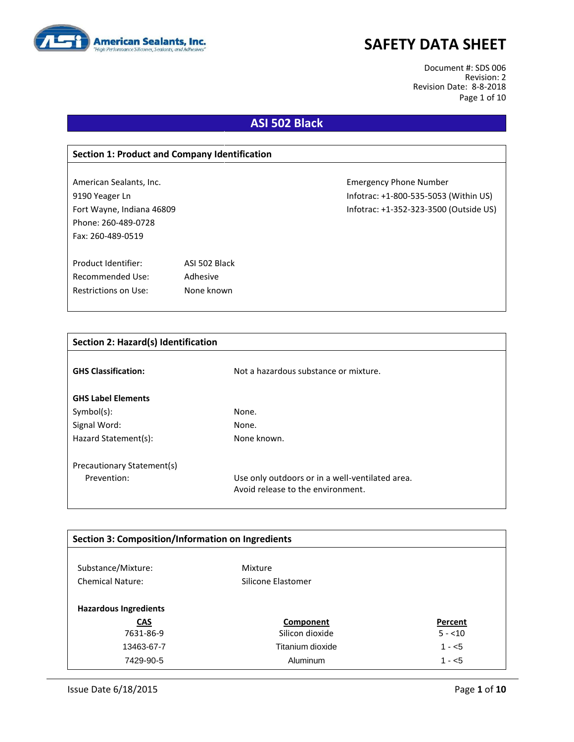

Document #: SDS 006 Revision: 2 Revision Date: 8-8-2018 Page 1 of 10

# **ASI 502 Black**

| <b>Section 1: Product and Company Identification</b> |               |                                        |  |  |
|------------------------------------------------------|---------------|----------------------------------------|--|--|
|                                                      |               |                                        |  |  |
| American Sealants, Inc.                              |               | <b>Emergency Phone Number</b>          |  |  |
| 9190 Yeager Ln                                       |               | Infotrac: +1-800-535-5053 (Within US)  |  |  |
| Fort Wayne, Indiana 46809                            |               | Infotrac: +1-352-323-3500 (Outside US) |  |  |
| Phone: 260-489-0728                                  |               |                                        |  |  |
| Fax: 260-489-0519                                    |               |                                        |  |  |
|                                                      |               |                                        |  |  |
| Product Identifier:                                  | ASI 502 Black |                                        |  |  |
| Recommended Use:                                     | Adhesive      |                                        |  |  |
| Restrictions on Use:                                 | None known    |                                        |  |  |
|                                                      |               |                                        |  |  |

| <b>Section 2: Hazard(s) Identification</b> |                                                                                      |
|--------------------------------------------|--------------------------------------------------------------------------------------|
| <b>GHS Classification:</b>                 | Not a hazardous substance or mixture.                                                |
| <b>GHS Label Elements</b>                  |                                                                                      |
| $Symbol(s)$ :                              | None.                                                                                |
| Signal Word:                               | None.                                                                                |
| Hazard Statement(s):                       | None known.                                                                          |
| Precautionary Statement(s)                 |                                                                                      |
| Prevention:                                | Use only outdoors or in a well-ventilated area.<br>Avoid release to the environment. |

| Section 3: Composition/Information on Ingredients |                    |          |  |  |
|---------------------------------------------------|--------------------|----------|--|--|
|                                                   |                    |          |  |  |
| Substance/Mixture:                                | Mixture            |          |  |  |
| <b>Chemical Nature:</b>                           | Silicone Elastomer |          |  |  |
| <b>Hazardous Ingredients</b>                      |                    |          |  |  |
| <b>CAS</b>                                        | Component          | Percent  |  |  |
| 7631-86-9                                         | Silicon dioxide    | $5 - 10$ |  |  |
| 13463-67-7                                        | Titanium dioxide   | $1 - 5$  |  |  |
| 7429-90-5                                         | Aluminum           | $1 - 5$  |  |  |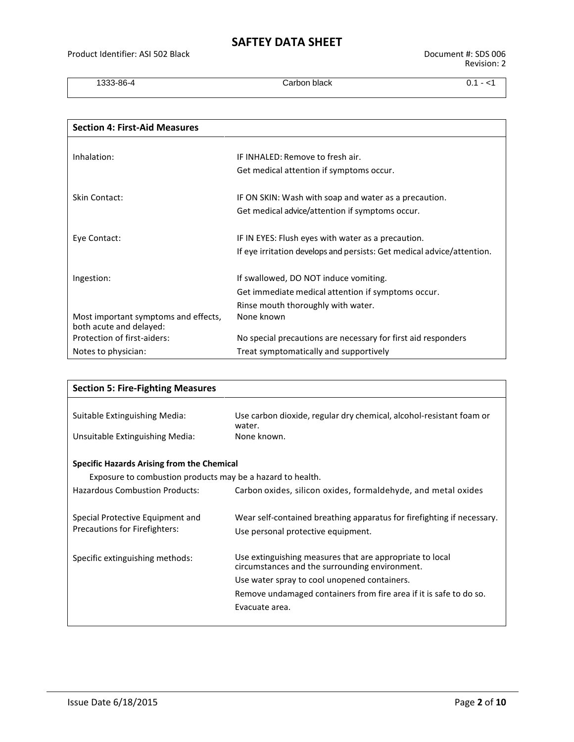1333-86-4 Carbon black 0.1 - <1

| <b>Section 4: First-Aid Measures</b>                            |                                                                        |
|-----------------------------------------------------------------|------------------------------------------------------------------------|
|                                                                 |                                                                        |
| Inhalation:                                                     | IF INHALED: Remove to fresh air.                                       |
|                                                                 | Get medical attention if symptoms occur.                               |
| Skin Contact:                                                   | IF ON SKIN: Wash with soap and water as a precaution.                  |
|                                                                 | Get medical advice/attention if symptoms occur.                        |
| Eye Contact:                                                    | IF IN EYES: Flush eyes with water as a precaution.                     |
|                                                                 | If eye irritation develops and persists: Get medical advice/attention. |
| Ingestion:                                                      | If swallowed, DO NOT induce vomiting.                                  |
|                                                                 | Get immediate medical attention if symptoms occur.                     |
|                                                                 | Rinse mouth thoroughly with water.                                     |
| Most important symptoms and effects,<br>both acute and delayed: | None known                                                             |
| Protection of first-aiders:                                     | No special precautions are necessary for first aid responders          |
| Notes to physician:                                             | Treat symptomatically and supportively                                 |

| <b>Section 5: Fire-Fighting Measures</b>                   |                                                                               |
|------------------------------------------------------------|-------------------------------------------------------------------------------|
|                                                            |                                                                               |
| Suitable Extinguishing Media:                              | Use carbon dioxide, regular dry chemical, alcohol-resistant foam or<br>water. |
| Unsuitable Extinguishing Media:                            | None known.                                                                   |
| <b>Specific Hazards Arising from the Chemical</b>          |                                                                               |
| Exposure to combustion products may be a hazard to health. |                                                                               |
| <b>Hazardous Combustion Products:</b>                      | Carbon oxides, silicon oxides, formaldehyde, and metal oxides                 |
| Special Protective Equipment and                           | Wear self-contained breathing apparatus for firefighting if necessary.        |
| Precautions for Firefighters:                              | Use personal protective equipment.                                            |
| Specific extinguishing methods:                            | Use extinguishing measures that are appropriate to local                      |
|                                                            | circumstances and the surrounding environment.                                |
|                                                            | Use water spray to cool unopened containers.                                  |
|                                                            | Remove undamaged containers from fire area if it is safe to do so.            |
|                                                            | Evacuate area.                                                                |
|                                                            |                                                                               |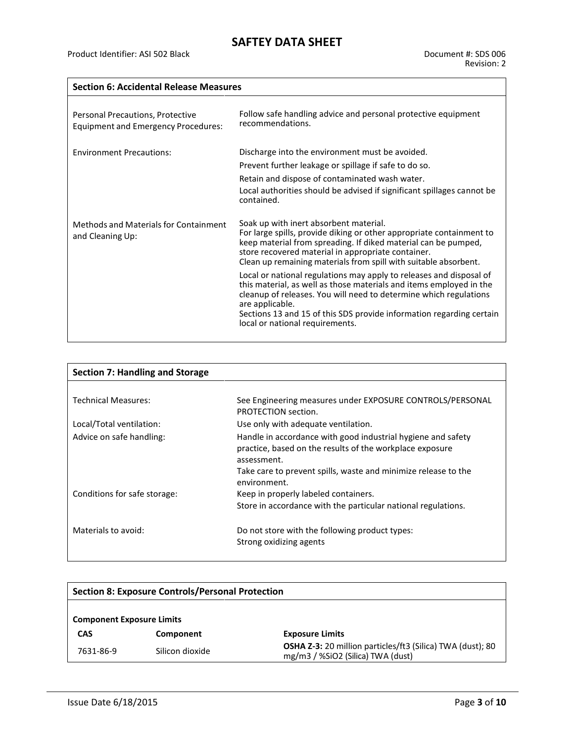#### **Section 6: Accidental Release Measures**

| Personal Precautions, Protective<br><b>Equipment and Emergency Procedures:</b> | Follow safe handling advice and personal protective equipment<br>recommendations.                                                                                                                                                                                                                                                                                                 |
|--------------------------------------------------------------------------------|-----------------------------------------------------------------------------------------------------------------------------------------------------------------------------------------------------------------------------------------------------------------------------------------------------------------------------------------------------------------------------------|
| <b>Environment Precautions:</b>                                                | Discharge into the environment must be avoided.<br>Prevent further leakage or spillage if safe to do so.<br>Retain and dispose of contaminated wash water.<br>Local authorities should be advised if significant spillages cannot be<br>contained.                                                                                                                                |
| Methods and Materials for Containment<br>and Cleaning Up:                      | Soak up with inert absorbent material.<br>For large spills, provide diking or other appropriate containment to<br>keep material from spreading. If diked material can be pumped,<br>store recovered material in appropriate container.<br>Clean up remaining materials from spill with suitable absorbent.<br>Local or national regulations may apply to releases and disposal of |
|                                                                                | this material, as well as those materials and items employed in the<br>cleanup of releases. You will need to determine which regulations<br>are applicable.<br>Sections 13 and 15 of this SDS provide information regarding certain<br>local or national requirements.                                                                                                            |

| <b>Section 7: Handling and Storage</b> |                                                                                                                                                                                                                           |
|----------------------------------------|---------------------------------------------------------------------------------------------------------------------------------------------------------------------------------------------------------------------------|
|                                        |                                                                                                                                                                                                                           |
| <b>Technical Measures:</b>             | See Engineering measures under EXPOSURE CONTROLS/PERSONAL<br>PROTECTION section.                                                                                                                                          |
| Local/Total ventilation:               | Use only with adequate ventilation.                                                                                                                                                                                       |
| Advice on safe handling:               | Handle in accordance with good industrial hygiene and safety<br>practice, based on the results of the workplace exposure<br>assessment.<br>Take care to prevent spills, waste and minimize release to the<br>environment. |
| Conditions for safe storage:           | Keep in properly labeled containers.                                                                                                                                                                                      |
|                                        | Store in accordance with the particular national regulations.                                                                                                                                                             |
| Materials to avoid:                    | Do not store with the following product types:<br>Strong oxidizing agents                                                                                                                                                 |

| <b>Section 8: Exposure Controls/Personal Protection</b> |                 |                                                                                                        |  |
|---------------------------------------------------------|-----------------|--------------------------------------------------------------------------------------------------------|--|
| <b>Component Exposure Limits</b>                        |                 |                                                                                                        |  |
| <b>CAS</b>                                              | Component       | <b>Exposure Limits</b>                                                                                 |  |
| 7631-86-9                                               | Silicon dioxide | <b>OSHA Z-3:</b> 20 million particles/ft3 (Silica) TWA (dust); 80<br>mg/m3 / %SiO2 (Silica) TWA (dust) |  |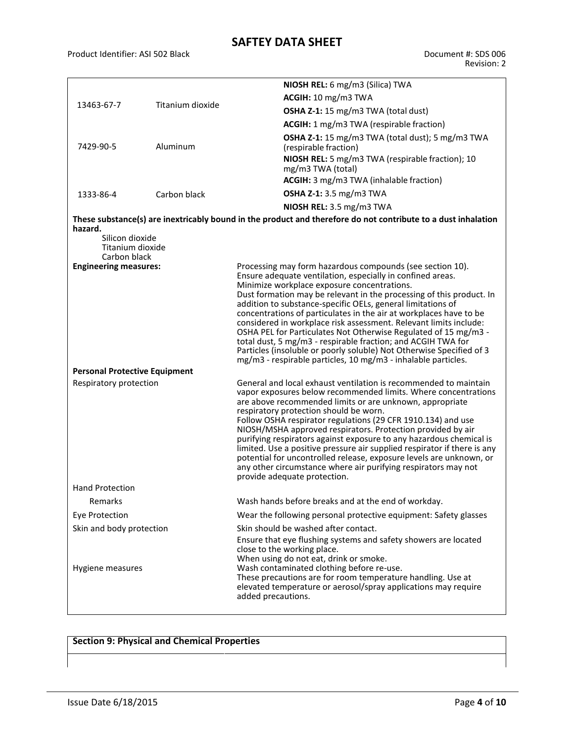Product Identifier: ASI 502 Black Document #: SDS 006

|                                      |                  | NIOSH REL: 6 mg/m3 (Silica) TWA                                                                                                    |  |  |  |
|--------------------------------------|------------------|------------------------------------------------------------------------------------------------------------------------------------|--|--|--|
| 13463-67-7                           | Titanium dioxide | ACGIH: 10 mg/m3 TWA                                                                                                                |  |  |  |
|                                      |                  | OSHA Z-1: 15 mg/m3 TWA (total dust)                                                                                                |  |  |  |
|                                      |                  | ACGIH: 1 mg/m3 TWA (respirable fraction)                                                                                           |  |  |  |
| 7429-90-5                            | Aluminum         | OSHA Z-1: 15 mg/m3 TWA (total dust); 5 mg/m3 TWA<br>(respirable fraction)                                                          |  |  |  |
|                                      |                  | NIOSH REL: 5 mg/m3 TWA (respirable fraction); 10<br>mg/m3 TWA (total)                                                              |  |  |  |
|                                      |                  | ACGIH: 3 mg/m3 TWA (inhalable fraction)                                                                                            |  |  |  |
| 1333-86-4                            | Carbon black     | <b>OSHA Z-1:</b> 3.5 mg/m3 TWA                                                                                                     |  |  |  |
|                                      |                  | NIOSH REL: 3.5 mg/m3 TWA                                                                                                           |  |  |  |
| hazard.                              |                  | These substance(s) are inextricably bound in the product and therefore do not contribute to a dust inhalation                      |  |  |  |
| Silicon dioxide                      |                  |                                                                                                                                    |  |  |  |
| Titanium dioxide<br>Carbon black     |                  |                                                                                                                                    |  |  |  |
| <b>Engineering measures:</b>         |                  | Processing may form hazardous compounds (see section 10).                                                                          |  |  |  |
|                                      |                  | Ensure adequate ventilation, especially in confined areas.                                                                         |  |  |  |
|                                      |                  | Minimize workplace exposure concentrations.<br>Dust formation may be relevant in the processing of this product. In                |  |  |  |
|                                      |                  | addition to substance-specific OELs, general limitations of                                                                        |  |  |  |
|                                      |                  | concentrations of particulates in the air at workplaces have to be                                                                 |  |  |  |
|                                      |                  | considered in workplace risk assessment. Relevant limits include:                                                                  |  |  |  |
|                                      |                  | OSHA PEL for Particulates Not Otherwise Regulated of 15 mg/m3 -<br>total dust, 5 mg/m3 - respirable fraction; and ACGIH TWA for    |  |  |  |
|                                      |                  | Particles (insoluble or poorly soluble) Not Otherwise Specified of 3                                                               |  |  |  |
|                                      |                  | mg/m3 - respirable particles, 10 mg/m3 - inhalable particles.                                                                      |  |  |  |
| <b>Personal Protective Equipment</b> |                  |                                                                                                                                    |  |  |  |
| Respiratory protection               |                  | General and local exhaust ventilation is recommended to maintain<br>vapor exposures below recommended limits. Where concentrations |  |  |  |
|                                      |                  | are above recommended limits or are unknown, appropriate                                                                           |  |  |  |
|                                      |                  | respiratory protection should be worn.                                                                                             |  |  |  |
|                                      |                  | Follow OSHA respirator regulations (29 CFR 1910.134) and use                                                                       |  |  |  |
|                                      |                  | NIOSH/MSHA approved respirators. Protection provided by air<br>purifying respirators against exposure to any hazardous chemical is |  |  |  |
|                                      |                  | limited. Use a positive pressure air supplied respirator if there is any                                                           |  |  |  |
|                                      |                  | potential for uncontrolled release, exposure levels are unknown, or                                                                |  |  |  |
|                                      |                  | any other circumstance where air purifying respirators may not<br>provide adequate protection.                                     |  |  |  |
| <b>Hand Protection</b>               |                  |                                                                                                                                    |  |  |  |
| Remarks                              |                  | Wash hands before breaks and at the end of workday.                                                                                |  |  |  |
| <b>Eye Protection</b>                |                  | Wear the following personal protective equipment: Safety glasses                                                                   |  |  |  |
| Skin and body protection             |                  | Skin should be washed after contact.                                                                                               |  |  |  |
|                                      |                  | Ensure that eye flushing systems and safety showers are located                                                                    |  |  |  |
|                                      |                  | close to the working place.                                                                                                        |  |  |  |
| Hygiene measures                     |                  | When using do not eat, drink or smoke.<br>Wash contaminated clothing before re-use.                                                |  |  |  |
|                                      |                  | These precautions are for room temperature handling. Use at                                                                        |  |  |  |
|                                      |                  | elevated temperature or aerosol/spray applications may require                                                                     |  |  |  |
|                                      |                  | added precautions.                                                                                                                 |  |  |  |

## **Section 9: Physical and Chemical Properties**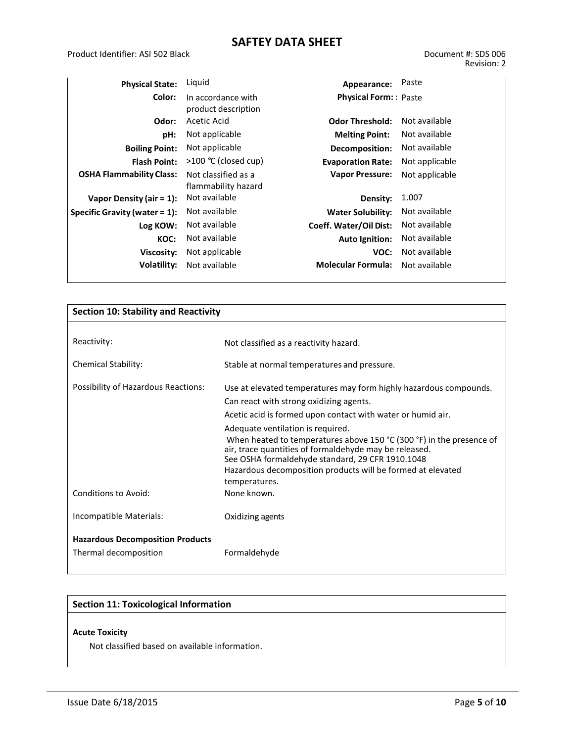| <b>Physical State:</b>           | Liquid                                     | Appearance:                   | Paste          |
|----------------------------------|--------------------------------------------|-------------------------------|----------------|
| Color:                           | In accordance with<br>product description  | <b>Physical Form: Paste</b>   |                |
| Odor:                            | Acetic Acid                                | <b>Odor Threshold:</b>        | Not available  |
| pH:                              | Not applicable                             | <b>Melting Point:</b>         | Not available  |
| <b>Boiling Point:</b>            | Not applicable                             | Decomposition:                | Not available  |
| <b>Flash Point:</b>              | >100 ℃ (closed cup)                        | <b>Evaporation Rate:</b>      | Not applicable |
| <b>OSHA Flammability Class:</b>  | Not classified as a<br>flammability hazard | <b>Vapor Pressure:</b>        | Not applicable |
| Vapor Density (air = $1$ ):      | Not available                              | Density:                      | 1.007          |
| Specific Gravity (water $= 1$ ): | Not available                              | <b>Water Solubility:</b>      | Not available  |
| Log KOW:                         | Not available                              | <b>Coeff. Water/Oil Dist:</b> | Not available  |
| KOC:                             | Not available                              | <b>Auto Ignition:</b>         | Not available  |
| Viscosity:                       | Not applicable                             | VOC:                          | Not available  |
| Volatility:                      | Not available                              | <b>Molecular Formula:</b>     | Not available  |

| <b>Section 10: Stability and Reactivity</b> |                                                                                                                                                                                    |  |  |
|---------------------------------------------|------------------------------------------------------------------------------------------------------------------------------------------------------------------------------------|--|--|
|                                             |                                                                                                                                                                                    |  |  |
| Reactivity:                                 | Not classified as a reactivity hazard.                                                                                                                                             |  |  |
| <b>Chemical Stability:</b>                  | Stable at normal temperatures and pressure.                                                                                                                                        |  |  |
| Possibility of Hazardous Reactions:         | Use at elevated temperatures may form highly hazardous compounds.                                                                                                                  |  |  |
|                                             | Can react with strong oxidizing agents.                                                                                                                                            |  |  |
|                                             | Acetic acid is formed upon contact with water or humid air.                                                                                                                        |  |  |
|                                             | Adequate ventilation is required.                                                                                                                                                  |  |  |
|                                             | When heated to temperatures above 150 °C (300 °F) in the presence of<br>air, trace quantities of formaldehyde may be released.<br>See OSHA formaldehyde standard, 29 CFR 1910.1048 |  |  |
|                                             | Hazardous decomposition products will be formed at elevated                                                                                                                        |  |  |
|                                             | temperatures.                                                                                                                                                                      |  |  |
| Conditions to Avoid:                        | None known.                                                                                                                                                                        |  |  |
| Incompatible Materials:                     | Oxidizing agents                                                                                                                                                                   |  |  |
| <b>Hazardous Decomposition Products</b>     |                                                                                                                                                                                    |  |  |
| Thermal decomposition                       | Formaldehyde                                                                                                                                                                       |  |  |

#### **Section 11: Toxicological Information**

#### **Acute Toxicity**

Not classified based on available information.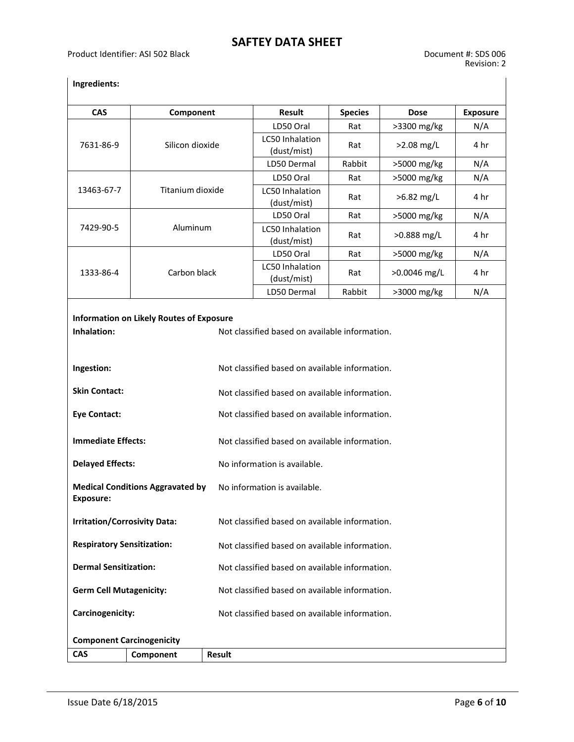### **Ingredients:**

| <b>CAS</b>                                                  | Component                                       |               | Result                                                                                           | <b>Species</b> | <b>Dose</b>  | <b>Exposure</b> |  |
|-------------------------------------------------------------|-------------------------------------------------|---------------|--------------------------------------------------------------------------------------------------|----------------|--------------|-----------------|--|
|                                                             |                                                 |               | LD50 Oral                                                                                        | Rat            | >3300 mg/kg  | N/A             |  |
| 7631-86-9<br>Silicon dioxide                                |                                                 |               | LC50 Inhalation<br>(dust/mist)                                                                   | Rat            | >2.08 mg/L   | 4 hr            |  |
|                                                             |                                                 |               | LD50 Dermal                                                                                      | Rabbit         | >5000 mg/kg  | N/A             |  |
|                                                             |                                                 |               | LD50 Oral                                                                                        | Rat            | >5000 mg/kg  | N/A             |  |
| 13463-67-7                                                  | Titanium dioxide                                |               | LC50 Inhalation<br>(dust/mist)                                                                   | Rat            | >6.82 mg/L   | 4 hr            |  |
|                                                             |                                                 |               | LD50 Oral                                                                                        | Rat            | >5000 mg/kg  | N/A             |  |
| 7429-90-5                                                   | Aluminum                                        |               | LC50 Inhalation<br>(dust/mist)                                                                   | Rat            | >0.888 mg/L  | 4 hr            |  |
|                                                             |                                                 |               | LD50 Oral                                                                                        | Rat            | >5000 mg/kg  | N/A             |  |
| 1333-86-4                                                   | Carbon black                                    |               | <b>LC50 Inhalation</b><br>(dust/mist)                                                            | Rat            | >0.0046 mg/L | 4 hr            |  |
|                                                             |                                                 |               | LD50 Dermal                                                                                      | Rabbit         | >3000 mg/kg  | N/A             |  |
| Inhalation:<br>Ingestion:                                   | <b>Information on Likely Routes of Exposure</b> |               | Not classified based on available information.<br>Not classified based on available information. |                |              |                 |  |
| <b>Skin Contact:</b>                                        |                                                 |               | Not classified based on available information.                                                   |                |              |                 |  |
| <b>Eye Contact:</b>                                         |                                                 |               | Not classified based on available information.                                                   |                |              |                 |  |
| <b>Immediate Effects:</b>                                   |                                                 |               | Not classified based on available information.                                                   |                |              |                 |  |
| <b>Delayed Effects:</b>                                     |                                                 |               | No information is available.                                                                     |                |              |                 |  |
| <b>Medical Conditions Aggravated by</b><br><b>Exposure:</b> |                                                 |               | No information is available.                                                                     |                |              |                 |  |
| <b>Irritation/Corrosivity Data:</b>                         |                                                 |               | Not classified based on available information.                                                   |                |              |                 |  |
| <b>Respiratory Sensitization:</b>                           |                                                 |               | Not classified based on available information.                                                   |                |              |                 |  |
| <b>Dermal Sensitization:</b>                                |                                                 |               | Not classified based on available information.                                                   |                |              |                 |  |
| <b>Germ Cell Mutagenicity:</b>                              |                                                 |               | Not classified based on available information.                                                   |                |              |                 |  |
| Carcinogenicity:                                            |                                                 |               | Not classified based on available information.                                                   |                |              |                 |  |
| <b>Component Carcinogenicity</b>                            |                                                 |               |                                                                                                  |                |              |                 |  |
| <b>CAS</b>                                                  | Component                                       | <b>Result</b> |                                                                                                  |                |              |                 |  |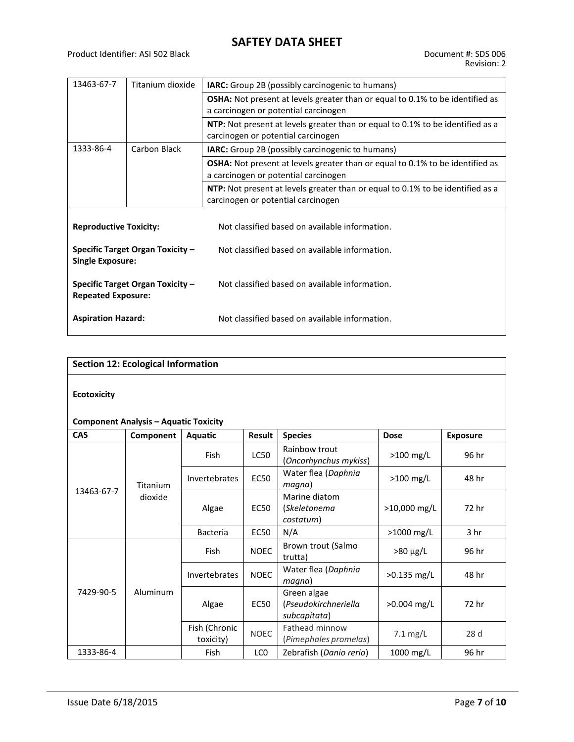| 13463-67-7                                                    | Titanium dioxide | IARC: Group 2B (possibly carcinogenic to humans)                                                                             |  |  |
|---------------------------------------------------------------|------------------|------------------------------------------------------------------------------------------------------------------------------|--|--|
|                                                               |                  | <b>OSHA:</b> Not present at levels greater than or equal to 0.1% to be identified as<br>a carcinogen or potential carcinogen |  |  |
|                                                               |                  | NTP: Not present at levels greater than or equal to 0.1% to be identified as a<br>carcinogen or potential carcinogen         |  |  |
| 1333-86-4                                                     | Carbon Black     | <b>IARC:</b> Group 2B (possibly carcinogenic to humans)                                                                      |  |  |
|                                                               |                  | <b>OSHA:</b> Not present at levels greater than or equal to 0.1% to be identified as<br>a carcinogen or potential carcinogen |  |  |
|                                                               |                  | <b>NTP:</b> Not present at levels greater than or equal to 0.1% to be identified as a<br>carcinogen or potential carcinogen  |  |  |
| <b>Reproductive Toxicity:</b>                                 |                  | Not classified based on available information.                                                                               |  |  |
| Specific Target Organ Toxicity -<br><b>Single Exposure:</b>   |                  | Not classified based on available information.                                                                               |  |  |
| Specific Target Organ Toxicity -<br><b>Repeated Exposure:</b> |                  | Not classified based on available information.                                                                               |  |  |
| <b>Aspiration Hazard:</b>                                     |                  | Not classified based on available information.                                                                               |  |  |

| <b>Section 12: Ecological Information</b>    |                     |               |               |                                                     |               |                 |
|----------------------------------------------|---------------------|---------------|---------------|-----------------------------------------------------|---------------|-----------------|
| <b>Ecotoxicity</b>                           |                     |               |               |                                                     |               |                 |
| <b>Component Analysis - Aquatic Toxicity</b> |                     |               |               |                                                     |               |                 |
| <b>CAS</b>                                   | Component           | Aquatic       | <b>Result</b> | <b>Species</b>                                      | <b>Dose</b>   | <b>Exposure</b> |
| 13463-67-7                                   | Titanium<br>dioxide | <b>Fish</b>   | LC50          | Rainbow trout<br>(Oncorhynchus mykiss)              | $>100$ mg/L   | 96 hr           |
|                                              |                     | Invertebrates | <b>EC50</b>   | Water flea (Daphnia<br>magna)                       | >100 mg/L     | 48 hr           |
|                                              |                     | Algae         | <b>EC50</b>   | Marine diatom<br>(Skeletonema<br>costatum)          | >10,000 mg/L  | 72 hr           |
|                                              |                     | Bacteria      | <b>EC50</b>   | N/A                                                 | >1000 mg/L    | 3 <sub>hr</sub> |
|                                              |                     | <b>Fish</b>   | <b>NOEC</b>   | Brown trout (Salmo<br>trutta)                       | $>80 \mu g/L$ | 96 hr           |
|                                              |                     | Invertebrates | <b>NOEC</b>   | Water flea (Daphnia<br>magna)                       | $>0.135$ mg/L | 48 hr           |
| 7429-90-5                                    | Aluminum            | Algae         | <b>EC50</b>   | Green algae<br>(Pseudokirchneriella<br>subcapitata) | $>0.004$ mg/L | 72 hr           |

toxicity) NOEC Fathead minnow (*Pimephales promelas*)

1333-86-4 Fish LC0 Zebrafish (*Danio rerio*) 1000 mg/L 96 hr

Fish (Chronic

7.1 mg/L 28 d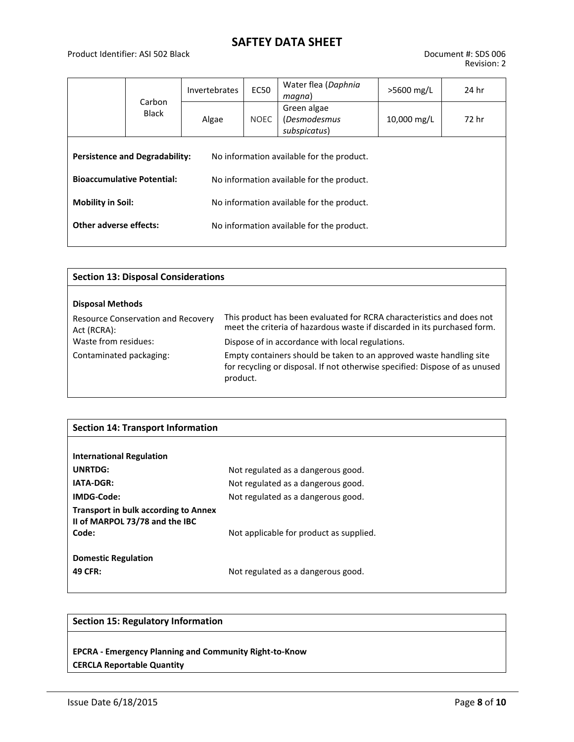#### Product Identifier: ASI 502 Black Document #: SDS 006

|                                                                            | Carbon<br><b>Black</b> | Invertebrates | <b>EC50</b>                                                                            | Water flea (Daphnia<br>magna)                      | >5600 mg/L  | 24 hr |
|----------------------------------------------------------------------------|------------------------|---------------|----------------------------------------------------------------------------------------|----------------------------------------------------|-------------|-------|
|                                                                            |                        | Algae         | <b>NOEC</b>                                                                            | Green algae<br><i>(Desmodesmus</i><br>subspicatus) | 10,000 mg/L | 72 hr |
| <b>Persistence and Degradability:</b><br><b>Bioaccumulative Potential:</b> |                        |               | No information available for the product.<br>No information available for the product. |                                                    |             |       |
| <b>Mobility in Soil:</b>                                                   |                        |               | No information available for the product.                                              |                                                    |             |       |
| Other adverse effects:                                                     |                        |               |                                                                                        | No information available for the product.          |             |       |

| <b>Section 13: Disposal Considerations</b>               |                                                                                                                                                                |  |  |  |
|----------------------------------------------------------|----------------------------------------------------------------------------------------------------------------------------------------------------------------|--|--|--|
| <b>Disposal Methods</b>                                  |                                                                                                                                                                |  |  |  |
| <b>Resource Conservation and Recovery</b><br>Act (RCRA): | This product has been evaluated for RCRA characteristics and does not<br>meet the criteria of hazardous waste if discarded in its purchased form.              |  |  |  |
| Waste from residues:                                     | Dispose of in accordance with local regulations.                                                                                                               |  |  |  |
| Contaminated packaging:                                  | Empty containers should be taken to an approved waste handling site<br>for recycling or disposal. If not otherwise specified: Dispose of as unused<br>product. |  |  |  |

| <b>Section 14: Transport Information</b>                                      |                                         |  |  |  |
|-------------------------------------------------------------------------------|-----------------------------------------|--|--|--|
|                                                                               |                                         |  |  |  |
| <b>International Regulation</b>                                               |                                         |  |  |  |
| <b>UNRTDG:</b>                                                                | Not regulated as a dangerous good.      |  |  |  |
| <b>IATA-DGR:</b>                                                              | Not regulated as a dangerous good.      |  |  |  |
| IMDG-Code:                                                                    | Not regulated as a dangerous good.      |  |  |  |
| <b>Transport in bulk according to Annex</b><br>II of MARPOL 73/78 and the IBC |                                         |  |  |  |
| Code:                                                                         | Not applicable for product as supplied. |  |  |  |
| <b>Domestic Regulation</b>                                                    |                                         |  |  |  |
| 49 CFR:                                                                       | Not regulated as a dangerous good.      |  |  |  |

#### **Section 15: Regulatory Information**

**EPCRA - Emergency Planning and Community Right-to-Know CERCLA Reportable Quantity**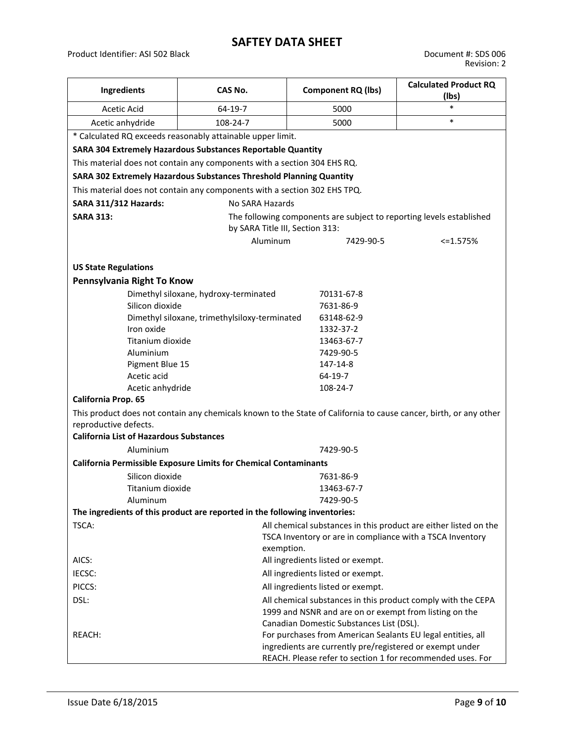Product Identifier: ASI 502 Black Document #: SDS 006

| Ingredients                                                                | CAS No.                                                                  | <b>Component RQ (lbs)</b>                                                                                                                                                             | <b>Calculated Product RQ</b><br>(lbs) |  |  |  |
|----------------------------------------------------------------------------|--------------------------------------------------------------------------|---------------------------------------------------------------------------------------------------------------------------------------------------------------------------------------|---------------------------------------|--|--|--|
| Acetic Acid                                                                | 64-19-7                                                                  | 5000                                                                                                                                                                                  | $\ast$                                |  |  |  |
| 108-24-7<br>Acetic anhydride                                               |                                                                          | 5000                                                                                                                                                                                  | $\ast$                                |  |  |  |
| * Calculated RQ exceeds reasonably attainable upper limit.                 |                                                                          |                                                                                                                                                                                       |                                       |  |  |  |
|                                                                            | SARA 304 Extremely Hazardous Substances Reportable Quantity              |                                                                                                                                                                                       |                                       |  |  |  |
|                                                                            | This material does not contain any components with a section 304 EHS RQ. |                                                                                                                                                                                       |                                       |  |  |  |
|                                                                            | SARA 302 Extremely Hazardous Substances Threshold Planning Quantity      |                                                                                                                                                                                       |                                       |  |  |  |
| This material does not contain any components with a section 302 EHS TPQ.  |                                                                          |                                                                                                                                                                                       |                                       |  |  |  |
| <b>SARA 311/312 Hazards:</b><br>No SARA Hazards                            |                                                                          |                                                                                                                                                                                       |                                       |  |  |  |
| <b>SARA 313:</b>                                                           |                                                                          | The following components are subject to reporting levels established                                                                                                                  |                                       |  |  |  |
|                                                                            | by SARA Title III, Section 313:                                          |                                                                                                                                                                                       |                                       |  |  |  |
|                                                                            | Aluminum                                                                 | 7429-90-5                                                                                                                                                                             | <=1.575%                              |  |  |  |
|                                                                            |                                                                          |                                                                                                                                                                                       |                                       |  |  |  |
| <b>US State Regulations</b>                                                |                                                                          |                                                                                                                                                                                       |                                       |  |  |  |
| Pennsylvania Right To Know                                                 |                                                                          |                                                                                                                                                                                       |                                       |  |  |  |
|                                                                            | Dimethyl siloxane, hydroxy-terminated                                    | 70131-67-8                                                                                                                                                                            |                                       |  |  |  |
| Silicon dioxide                                                            |                                                                          | 7631-86-9                                                                                                                                                                             |                                       |  |  |  |
|                                                                            | Dimethyl siloxane, trimethylsiloxy-terminated                            | 63148-62-9                                                                                                                                                                            |                                       |  |  |  |
| Iron oxide                                                                 |                                                                          | 1332-37-2                                                                                                                                                                             |                                       |  |  |  |
| Titanium dioxide                                                           |                                                                          | 13463-67-7                                                                                                                                                                            |                                       |  |  |  |
| Aluminium                                                                  |                                                                          | 7429-90-5                                                                                                                                                                             |                                       |  |  |  |
| Pigment Blue 15                                                            |                                                                          | 147-14-8                                                                                                                                                                              |                                       |  |  |  |
| Acetic acid                                                                |                                                                          | 64-19-7                                                                                                                                                                               |                                       |  |  |  |
| Acetic anhydride                                                           |                                                                          | 108-24-7                                                                                                                                                                              |                                       |  |  |  |
| California Prop. 65                                                        |                                                                          |                                                                                                                                                                                       |                                       |  |  |  |
| reproductive defects.                                                      |                                                                          | This product does not contain any chemicals known to the State of California to cause cancer, birth, or any other                                                                     |                                       |  |  |  |
| <b>California List of Hazardous Substances</b>                             |                                                                          |                                                                                                                                                                                       |                                       |  |  |  |
| Aluminium                                                                  |                                                                          | 7429-90-5                                                                                                                                                                             |                                       |  |  |  |
|                                                                            | <b>California Permissible Exposure Limits for Chemical Contaminants</b>  |                                                                                                                                                                                       |                                       |  |  |  |
| Silicon dioxide                                                            |                                                                          | 7631-86-9                                                                                                                                                                             |                                       |  |  |  |
| Titanium dioxide                                                           |                                                                          | 13463-67-7                                                                                                                                                                            |                                       |  |  |  |
| Aluminum                                                                   |                                                                          | 7429-90-5                                                                                                                                                                             |                                       |  |  |  |
| The ingredients of this product are reported in the following inventories: |                                                                          |                                                                                                                                                                                       |                                       |  |  |  |
| TSCA:                                                                      | exemption.                                                               | All chemical substances in this product are either listed on the<br>TSCA Inventory or are in compliance with a TSCA Inventory                                                         |                                       |  |  |  |
| AICS:                                                                      |                                                                          | All ingredients listed or exempt.                                                                                                                                                     |                                       |  |  |  |
| IECSC:                                                                     |                                                                          | All ingredients listed or exempt.                                                                                                                                                     |                                       |  |  |  |
| PICCS:                                                                     |                                                                          | All ingredients listed or exempt.                                                                                                                                                     |                                       |  |  |  |
| DSL:                                                                       |                                                                          | All chemical substances in this product comply with the CEPA<br>1999 and NSNR and are on or exempt from listing on the<br>Canadian Domestic Substances List (DSL).                    |                                       |  |  |  |
| REACH:                                                                     |                                                                          | For purchases from American Sealants EU legal entities, all<br>ingredients are currently pre/registered or exempt under<br>REACH. Please refer to section 1 for recommended uses. For |                                       |  |  |  |